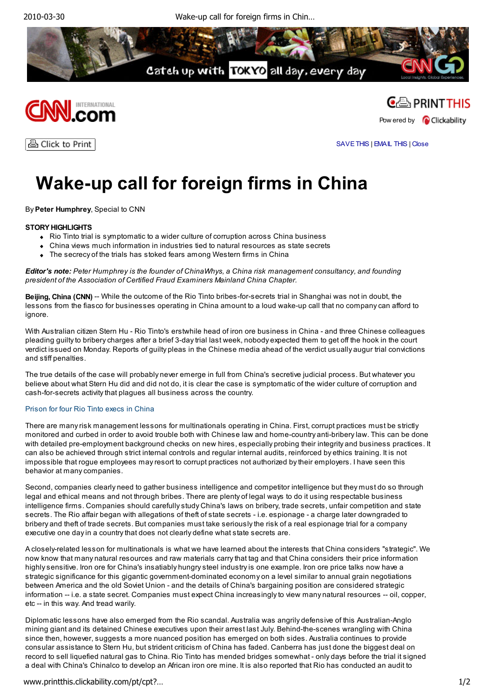





ê Click to Print

SAVE THIS | EMAIL THIS | Close

# **Wake-up call for foreign firms in China**

By **Peter Humphrey**, Special to CNN

### **STORY HIGHLIGHTS**

- Rio Tinto trial is symptomatic to a wider culture of corruption across China business
- China views much information in industries tied to natural resources as state secrets
- The secrecy of the trials has stoked fears among Western firms in China

*Editor's note: Peter Humphrey is the founder of ChinaWhys, a China risk management consultancy, and founding president of the Association of Certified Fraud Examiners Mainland China Chapter.*

**Beijing, China (CNN)** -- While the outcome of the Rio Tinto bribes-for-secrets trial in Shanghai was not in doubt, the lessons from the fiasco for businesses operating in China amount to a loud wake-up call that no company can afford to ignore.

With Australian citizen Stern Hu - Rio Tinto's erstwhile head of iron ore business in China - and three Chinese colleagues pleading guilty to bribery charges after a brief 3-day trial last week, nobody expected them to get off the hook in the court verdict issued on Monday. Reports of guilty pleas in the Chinese media ahead of the verdict usually augur trial convictions and stiff penalties.

The true details of the case will probably never emerge in full from China's secretive judicial process. But whatever you believe about what Stern Hu did and did not do, it is clear the case is symptomatic of the wider culture of corruption and cash-for-secrets activity that plagues all business across the country.

#### Prison for four Rio Tinto execs in China

There are many risk management lessons for multinationals operating in China. First, corrupt practices must be strictly monitored and curbed in order to avoid trouble both with Chinese law and home-country anti-bribery law. This can be done with detailed pre-employment background checks on new hires, especially probing their integrity and business practices. It can also be achieved through strict internal controls and regular internal audits, reinforced by ethics training. It is not impossible that rogue employees may resort to corrupt practices not authorized by their employers. I have seen this behavior at many companies.

Second, companies clearly need to gather business intelligence and competitor intelligence but they must do so through legal and ethical means and not through bribes. There are plenty of legal ways to do it using respectable business intelligence firms. Companies should carefully study China's laws on bribery, trade secrets, unfair competition and state secrets. The Rio affair began with allegations of theft of state secrets - i.e. espionage - a charge later downgraded to bribery and theft of trade secrets. But companies must take seriously the risk of a real espionage trial for a company executive one day in a country that does not clearly define what state secrets are.

A closely-related lesson for multinationals is what we have learned about the interests that China considers "strategic". We now know that many natural resources and raw materials carry that tag and that China considers their price information highly sensitive. Iron ore for China's insatiably hungry steel industry is one example. Iron ore price talks now have a strategic significance for this gigantic government-dominated economy on a level similar to annual grain negotiations between America and the old Soviet Union - and the details of China's bargaining position are considered strategic information -- i.e. a state secret. Companies must expect China increasingly to view many natural resources -- oil, copper, etc -- in this way. And tread warily.

Diplomatic lessons have also emerged from the Rio scandal. Australia was angrily defensive of this Australian-Anglo mining giant and its detained Chinese executives upon their arrest last July. Behind-the-scenes wrangling with China since then, however, suggests a more nuanced position has emerged on both sides. Australia continues to provide consular assistance to Stern Hu, but strident criticism of China has faded. Canberra has just done the biggest deal on record to sell liquefied natural gas to China. Rio Tinto has mended bridges somewhat - only days before the trial it signed a deal with China's Chinalco to develop an African iron ore mine. It is also reported that Rio has conducted an audit to